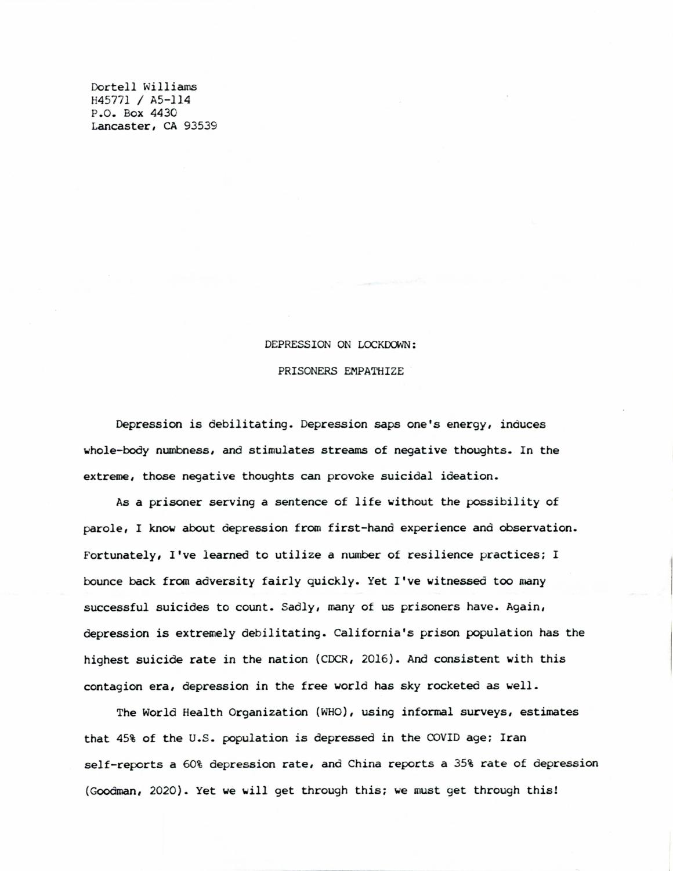Dortell Williams H45771 / A5-114 P.O. Box 4430 Lancaster, CA 93539

## DEPRESSION ON LOCKDOWN: PRISONERS EMPATHIZE

Depression is debilitating. Depression saps one's energy, induces whole-body numbness, and stimulates streams of negative thoughts. In the extreme, those negative thoughts can provoke suicidal ideation.

As a prisoner serving a sentence of life without the possibility of parole, I know about depression from first-hand experience and observation. Fortunately, I've learned to utilize a number of resilience practices; I bounce back from adversity fairly quickly. Yet I've witnessed too many successful suicides to count. Sadly, many of us prisoners have. Again, depression is extremely debilitating. California's prison population has the highest suicide rate in the nation (CDCR, 2016). And consistent with this contagion era, depression in the free world has sky rocketed as well.

The World Health Organization (WHO), using informal surveys, estimates that 45% of the U.S. population is depressed in the COVID age; Iran self-reports a 60% depression rate, and China reports a 35% rate of depression (Goodman, 2020). Yet we will get through this; we must get through this!